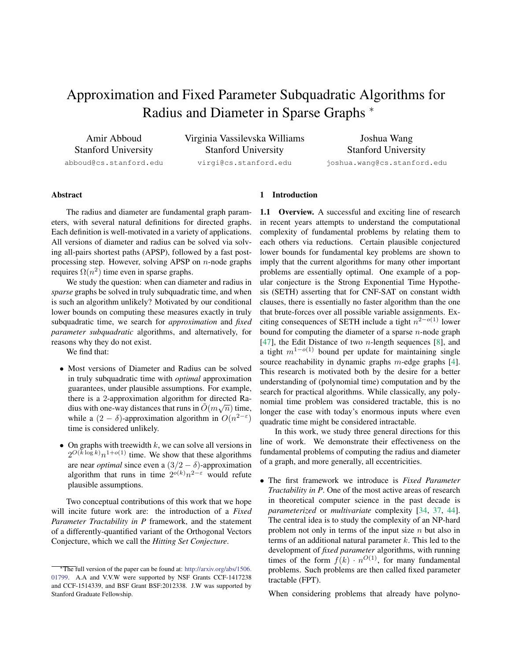# Approximation and Fixed Parameter Subquadratic Algorithms for Radius and Diameter in Sparse Graphs <sup>∗</sup>

Amir Abboud Stanford University

abboud@cs.stanford.edu

Virginia Vassilevska Williams Stanford University virgi@cs.stanford.edu

Joshua Wang Stanford University

joshua.wang@cs.stanford.edu

## Abstract

The radius and diameter are fundamental graph parameters, with several natural definitions for directed graphs. Each definition is well-motivated in a variety of applications. All versions of diameter and radius can be solved via solving all-pairs shortest paths (APSP), followed by a fast postprocessing step. However, solving APSP on  $n$ -node graphs requires  $\Omega(n^2)$  time even in sparse graphs.

We study the question: when can diameter and radius in *sparse* graphs be solved in truly subquadratic time, and when is such an algorithm unlikely? Motivated by our conditional lower bounds on computing these measures exactly in truly subquadratic time, we search for *approximation* and *fixed parameter subquadratic* algorithms, and alternatively, for reasons why they do not exist.

We find that:

- Most versions of Diameter and Radius can be solved in truly subquadratic time with *optimal* approximation guarantees, under plausible assumptions. For example, there is a 2-approximation algorithm for directed Radius with one-way distances that runs in  $\tilde{O}(m\sqrt{n})$  time, while a  $(2 - \delta)$ -approximation algorithm in  $O(n^{2-\epsilon})$ time is considered unlikely.
- On graphs with treewidth  $k$ , we can solve all versions in  $2^{O(k \log k)} n^{1+o(1)}$  time. We show that these algorithms are near *optimal* since even a  $(3/2 - \delta)$ -approximation algorithm that runs in time  $2^{o(k)}n^{2-\epsilon}$  would refute plausible assumptions.

Two conceptual contributions of this work that we hope will incite future work are: the introduction of a *Fixed Parameter Tractability in P* framework, and the statement of a differently-quantified variant of the Orthogonal Vectors Conjecture, which we call the *Hitting Set Conjecture*.

## 1 Introduction

1.1 Overview. A successful and exciting line of research in recent years attempts to understand the computational complexity of fundamental problems by relating them to each others via reductions. Certain plausible conjectured lower bounds for fundamental key problems are shown to imply that the current algorithms for many other important problems are essentially optimal. One example of a popular conjecture is the Strong Exponential Time Hypothesis (SETH) asserting that for CNF-SAT on constant width clauses, there is essentially no faster algorithm than the one that brute-forces over all possible variable assignments. Exciting consequences of SETH include a tight  $n^{2-o(1)}$  lower bound for computing the diameter of a sparse  $n$ -node graph [\[47\]](#page-14-0), the Edit Distance of two *n*-length sequences [\[8\]](#page-13-0), and a tight  $m^{1-o(1)}$  bound per update for maintaining single source reachability in dynamic graphs  $m$ -edge graphs [\[4\]](#page-13-1). This research is motivated both by the desire for a better understanding of (polynomial time) computation and by the search for practical algorithms. While classically, any polynomial time problem was considered tractable, this is no longer the case with today's enormous inputs where even quadratic time might be considered intractable.

In this work, we study three general directions for this line of work. We demonstrate their effectiveness on the fundamental problems of computing the radius and diameter of a graph, and more generally, all eccentricities.

• The first framework we introduce is *Fixed Parameter Tractability in P*. One of the most active areas of research in theoretical computer science in the past decade is *parameterized* or *multivariate* complexity [\[34,](#page-14-1) [37,](#page-14-2) [44\]](#page-14-3). The central idea is to study the complexity of an NP-hard problem not only in terms of the input size  $n$  but also in terms of an additional natural parameter  $k$ . This led to the development of *fixed parameter* algorithms, with running times of the form  $f(k) \cdot n^{O(1)}$ , for many fundamental problems. Such problems are then called fixed parameter tractable (FPT).

When considering problems that already have polyno-

<sup>∗</sup>The full version of the paper can be found at: [http://arxiv.org/abs/1506.](http://arxiv.org/abs/1506.01799) [01799.](http://arxiv.org/abs/1506.01799) A.A and V.V.W were supported by NSF Grants CCF-1417238 and CCF-1514339, and BSF Grant BSF:2012338. J.W was supported by Stanford Graduate Fellowship.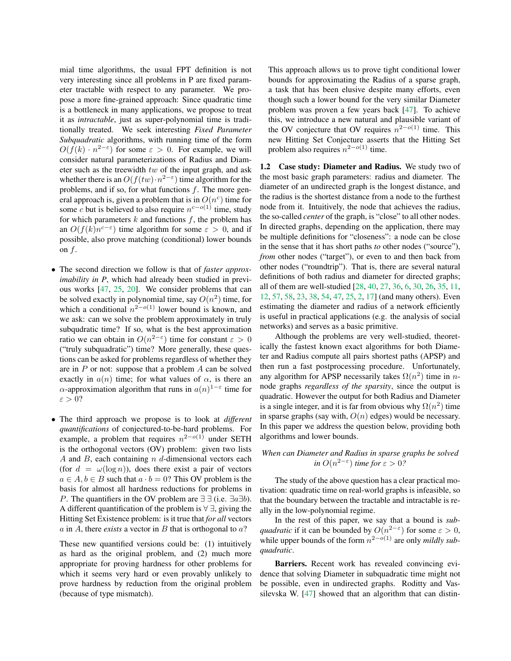mial time algorithms, the usual FPT definition is not very interesting since all problems in P are fixed parameter tractable with respect to any parameter. We propose a more fine-grained approach: Since quadratic time is a bottleneck in many applications, we propose to treat it as *intractable*, just as super-polynomial time is traditionally treated. We seek interesting *Fixed Parameter Subquadratic* algorithms, with running time of the form  $O(f(k) \cdot n^{2-\epsilon})$  for some  $\varepsilon > 0$ . For example, we will consider natural parameterizations of Radius and Diameter such as the treewidth  $tw$  of the input graph, and ask whether there is an  $O(f(tw) \cdot n^{2-\epsilon})$  time algorithm for the problems, and if so, for what functions  $f$ . The more general approach is, given a problem that is in  $O(n^c)$  time for some c but is believed to also require  $n^{c-o(1)}$  time, study for which parameters  $k$  and functions  $f$ , the problem has an  $O(f(k)n^{c-\epsilon})$  time algorithm for some  $\varepsilon > 0$ , and if possible, also prove matching (conditional) lower bounds on  $f$ .

- The second direction we follow is that of *faster approximability in P*, which had already been studied in previous works [\[47,](#page-14-0) [25,](#page-14-4) [20\]](#page-13-2). We consider problems that can be solved exactly in polynomial time, say  $O(n^2)$  time, for which a conditional  $n^{2-o(1)}$  lower bound is known, and we ask: can we solve the problem approximately in truly subqudratic time? If so, what is the best approximation ratio we can obtain in  $O(n^{2-\epsilon})$  time for constant  $\varepsilon > 0$ ("truly subquadratic") time? More generally, these questions can be asked for problems regardless of whether they are in  $P$  or not: suppose that a problem  $A$  can be solved exactly in  $a(n)$  time; for what values of  $\alpha$ , is there an  $\alpha$ -approximation algorithm that runs in  $a(n)^{1-\epsilon}$  time for  $\varepsilon > 0$ ?
- The third approach we propose is to look at *different quantifications* of conjectured-to-be-hard problems. For example, a problem that requires  $n^{2-o(1)}$  under SETH is the orthogonal vectors (OV) problem: given two lists  $A$  and  $B$ , each containing  $n$  d-dimensional vectors each (for  $d = \omega(\log n)$ ), does there exist a pair of vectors  $a \in A, b \in B$  such that  $a \cdot b = 0$ ? This OV problem is the basis for almost all hardness reductions for problems in P. The quantifiers in the OV problem are  $\exists \exists$  (i.e.  $\exists a \exists b$ ). A different quantification of the problem is ∀ ∃, giving the Hitting Set Existence problem: is it true that *for all* vectors a in A, there *exists* a vector in B that is orthogonal to a?

These new quantified versions could be: (1) intuitively as hard as the original problem, and (2) much more appropriate for proving hardness for other problems for which it seems very hard or even provably unlikely to prove hardness by reduction from the original problem (because of type mismatch).

This approach allows us to prove tight conditional lower bounds for approximating the Radius of a sparse graph, a task that has been elusive despite many efforts, even though such a lower bound for the very similar Diameter problem was proven a few years back [\[47\]](#page-14-0). To achieve this, we introduce a new natural and plausible variant of the OV conjecture that OV requires  $n^{2-o(1)}$  time. This new Hitting Set Conjecture asserts that the Hitting Set problem also requires  $n^{2-o(1)}$  time.

1.2 Case study: Diameter and Radius. We study two of the most basic graph parameters: radius and diameter. The diameter of an undirected graph is the longest distance, and the radius is the shortest distance from a node to the furthest node from it. Intuitively, the node that achieves the radius, the so-called *center* of the graph, is "close" to all other nodes. In directed graphs, depending on the application, there may be multiple definitions for "closeness": a node can be close in the sense that it has short paths *to* other nodes ("source"), *from* other nodes ("target"), or even to and then back from other nodes ("roundtrip"). That is, there are several natural definitions of both radius and diameter for directed graphs; all of them are well-studied [\[28,](#page-14-5) [40,](#page-14-6) [27,](#page-14-7) [36,](#page-14-8) [6,](#page-13-3) [30,](#page-14-9) [26,](#page-14-10) [35,](#page-14-11) [11,](#page-13-4) [12,](#page-13-5) [57,](#page-14-12) [58,](#page-14-13) [23,](#page-14-14) [38,](#page-14-15) [54,](#page-14-16) [47,](#page-14-0) [25,](#page-14-4) [2,](#page-12-0) [17\]](#page-13-6) (and many others). Even estimating the diameter and radius of a network efficiently is useful in practical applications (e.g. the analysis of social networks) and serves as a basic primitive.

Although the problems are very well-studied, theoretically the fastest known exact algorithms for both Diameter and Radius compute all pairs shortest paths (APSP) and then run a fast postprocessing procedure. Unfortunately, any algorithm for APSP necessarily takes  $\Omega(n^2)$  time in nnode graphs *regardless of the sparsity*, since the output is quadratic. However the output for both Radius and Diameter is a single integer, and it is far from obvious why  $\Omega(n^2)$  time in sparse graphs (say with,  $O(n)$  edges) would be necessary. In this paper we address the question below, providing both algorithms and lower bounds.

## *When can Diameter and Radius in sparse graphs be solved in*  $O(n^{2-\epsilon})$  *time for*  $\epsilon > 0$ ?

The study of the above question has a clear practical motivation: quadratic time on real-world graphs is infeasible, so that the boundary between the tractable and intractable is really in the low-polynomial regime.

In the rest of this paper, we say that a bound is *subquadratic* if it can be bounded by  $O(n^{2-\epsilon})$  for some  $\epsilon > 0$ , while upper bounds of the form  $n^{2-o(1)}$  are only *mildly subquadratic*.

Barriers. Recent work has revealed convincing evidence that solving Diameter in subquadratic time might not be possible, even in undirected graphs. Roditty and Vassilevska W. [\[47\]](#page-14-0) showed that an algorithm that can distin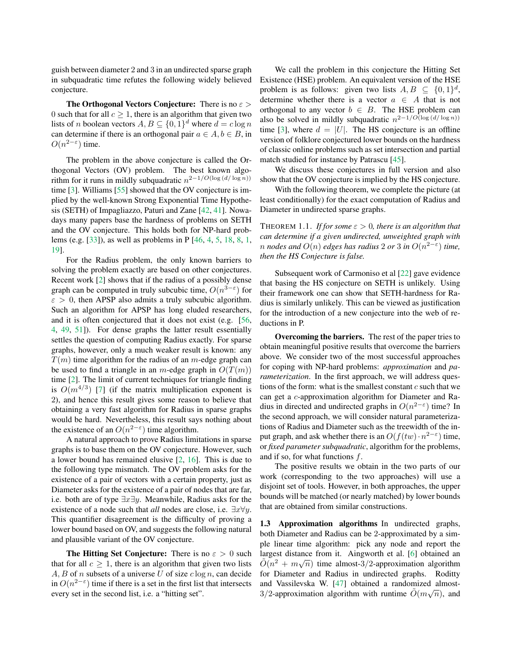guish between diameter 2 and 3 in an undirected sparse graph in subquadratic time refutes the following widely believed conjecture.

**The Orthogonal Vectors Conjecture:** There is no  $\varepsilon >$ 0 such that for all  $c \geq 1$ , there is an algorithm that given two lists of *n* boolean vectors  $A, B \subseteq \{0, 1\}^d$  where  $d = c \log n$ can determine if there is an orthogonal pair  $a \in A, b \in B$ , in  $O(n^{2-\epsilon})$  time.

The problem in the above conjecture is called the Orthogonal Vectors (OV) problem. The best known algorithm for it runs in mildly subquadratic  $n^{2-1/O(\log(d/\log n))}$ time [\[3\]](#page-13-7). Williams [\[55\]](#page-14-17) showed that the OV conjecture is implied by the well-known Strong Exponential Time Hypothesis (SETH) of Impagliazzo, Paturi and Zane [\[42,](#page-14-18) [41\]](#page-14-19). Nowadays many papers base the hardness of problems on SETH and the OV conjecture. This holds both for NP-hard problems (e.g. [\[33\]](#page-14-20)), as well as problems in P [\[46,](#page-14-21) [4,](#page-13-1) [5,](#page-13-8) [18,](#page-13-9) [8,](#page-13-0) [1,](#page-12-1) [19\]](#page-13-10).

For the Radius problem, the only known barriers to solving the problem exactly are based on other conjectures. Recent work [\[2\]](#page-12-0) shows that if the radius of a possibly dense graph can be computed in truly subcubic time,  $O(n^{3-\epsilon})$  for  $\varepsilon > 0$ , then APSP also admits a truly subcubic algorithm. Such an algorithm for APSP has long eluded researchers, and it is often conjectured that it does not exist (e.g. [\[56,](#page-14-22) [4,](#page-13-1) [49,](#page-14-23) [51\]](#page-14-24)). For dense graphs the latter result essentially settles the question of computing Radius exactly. For sparse graphs, however, only a much weaker result is known: any  $T(m)$  time algorithm for the radius of an m-edge graph can be used to find a triangle in an m-edge graph in  $O(T(m))$ time [\[2\]](#page-12-0). The limit of current techniques for triangle finding is  $O(m^{4/3})$  [\[7\]](#page-13-11) (if the matrix multiplication exponent is 2), and hence this result gives some reason to believe that obtaining a very fast algorithm for Radius in sparse graphs would be hard. Nevertheless, this result says nothing about the existence of an  $O(n^{2-\epsilon})$  time algorithm.

A natural approach to prove Radius limitations in sparse graphs is to base them on the OV conjecture. However, such a lower bound has remained elusive [\[2,](#page-12-0) [16\]](#page-13-12). This is due to the following type mismatch. The OV problem asks for the existence of a pair of vectors with a certain property, just as Diameter asks for the existence of a pair of nodes that are far, i.e. both are of type  $\exists x \exists y$ . Meanwhile, Radius asks for the existence of a node such that *all* nodes are close, i.e. ∃x∀y. This quantifier disagreement is the difficulty of proving a lower bound based on OV, and suggests the following natural and plausible variant of the OV conjecture.

**The Hitting Set Conjecture:** There is no  $\varepsilon > 0$  such that for all  $c \geq 1$ , there is an algorithm that given two lists  $A, B$  of n subsets of a universe U of size  $c \log n$ , can decide in  $O(n^{2-\epsilon})$  time if there is a set in the first list that intersects every set in the second list, i.e. a "hitting set".

We call the problem in this conjecture the Hitting Set Existence (HSE) problem. An equivalent version of the HSE problem is as follows: given two lists  $A, B \subseteq \{0, 1\}^d$ , determine whether there is a vector  $a \in A$  that is not orthogonal to any vector  $b \in B$ . The HSE problem can also be solved in mildly subquadratic  $n^{2-1/O(\log(d/\log n))}$ time [\[3\]](#page-13-7), where  $d = |U|$ . The HS conjecture is an offline version of folklore conjectured lower bounds on the hardness of classic online problems such as set intersection and partial match studied for instance by Patrascu [\[45\]](#page-14-25).

We discuss these conjectures in full version and also show that the OV conjecture is implied by the HS conjecture.

<span id="page-2-0"></span>With the following theorem, we complete the picture (at least conditionally) for the exact computation of Radius and Diameter in undirected sparse graphs.

THEOREM 1.1. *If for some*  $\varepsilon > 0$ , there is an algorithm that *can determine if a given undirected, unweighted graph with n* nodes and  $O(n)$  edges has radius 2 or 3 in  $O(n^{2-\varepsilon})$  time, *then the HS Conjecture is false.*

Subsequent work of Carmoniso et al [\[22\]](#page-14-26) gave evidence that basing the HS conjecture on SETH is unlikely. Using their framework one can show that SETH-hardness for Radius is similarly unlikely. This can be viewed as justification for the introduction of a new conjecture into the web of reductions in P.

Overcoming the barriers. The rest of the paper tries to obtain meaningful positive results that overcome the barriers above. We consider two of the most successful approaches for coping with NP-hard problems: *approximation* and *parameterization*. In the first approach, we will address questions of the form: what is the smallest constant  $c$  such that we can get a c-approximation algorithm for Diameter and Radius in directed and undirected graphs in  $O(n^{2-\epsilon})$  time? In the second approach, we will consider natural parameterizations of Radius and Diameter such as the treewidth of the input graph, and ask whether there is an  $O(f(tw) \cdot n^{2-\epsilon})$  time, or *fixed parameter subquadratic*, algorithm for the problems, and if so, for what functions  $f$ .

The positive results we obtain in the two parts of our work (corresponding to the two approaches) will use a disjoint set of tools. However, in both approaches, the upper bounds will be matched (or nearly matched) by lower bounds that are obtained from similar constructions.

1.3 Approximation algorithms In undirected graphs, both Diameter and Radius can be 2-approximated by a simple linear time algorithm: pick any node and report the largest distance from it. Aingworth et al. [\[6\]](#page-13-3) obtained an  $\tilde{O}(n^2 + m\sqrt{n})$  time almost-3/2-approximation algorithm for Diameter and Radius in undirected graphs. Roditty and Vassilevska W. [\[47\]](#page-14-0) obtained a randomized almost-3/2-approximation algorithm with runtime  $\tilde{O}(m\sqrt{n})$ , and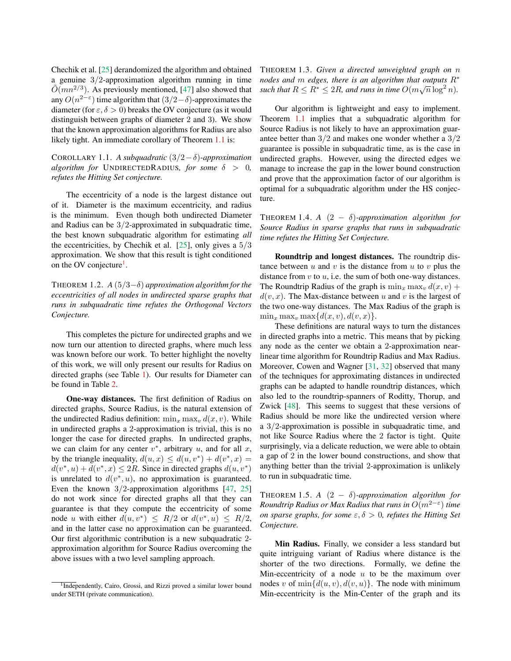Chechik et al. [\[25\]](#page-14-4) derandomized the algorithm and obtained a genuine 3/2-approximation algorithm running in time  $\tilde{O}(mn^{2/3})$ . As previously mentioned, [\[47\]](#page-14-0) also showed that any  $O(n^{2-\epsilon})$  time algorithm that  $\left(\frac{3}{2}-\delta\right)$ -approximates the diameter (for  $\varepsilon$ ,  $\delta > 0$ ) breaks the OV conjecture (as it would distinguish between graphs of diameter 2 and 3). We show that the known approximation algorithms for Radius are also likely tight. An immediate corollary of Theorem [1.1](#page-2-0) is:

COROLLARY 1.1. *A subquadratic* (3/2−δ)*-approximation algorithm for* UNDIRECTEDRADIUS, for some  $\delta > 0$ , *refutes the Hitting Set conjecture.*

The eccentricity of a node is the largest distance out of it. Diameter is the maximum eccentricity, and radius is the minimum. Even though both undirected Diameter and Radius can be 3/2-approximated in subquadratic time, the best known subquadratic algorithm for estimating *all* the eccentricities, by Chechik et al.  $[25]$ , only gives a  $5/3$ approximation. We show that this result is tight conditioned on the OV conjecture<sup>[1](#page-3-0)</sup>.

<span id="page-3-1"></span>THEOREM 1.2. *A* (5/3−δ) *approximation algorithm for the eccentricities of all nodes in undirected sparse graphs that runs in subquadratic time refutes the Orthogonal Vectors Conjecture.*

This completes the picture for undirected graphs and we now turn our attention to directed graphs, where much less was known before our work. To better highlight the novelty of this work, we will only present our results for Radius on directed graphs (see Table [1\)](#page-13-13). Our results for Diameter can be found in Table [2.](#page-13-14)

One-way distances. The first definition of Radius on directed graphs, Source Radius, is the natural extension of the undirected Radius definition:  $\min_x \max_v d(x, v)$ . While in undirected graphs a 2-approximation is trivial, this is no longer the case for directed graphs. In undirected graphs, we can claim for any center  $v^*$ , arbitrary  $u$ , and for all  $x$ , by the triangle inequality,  $d(u, x) \leq d(u, v^*) + d(v^*, x) =$  $d(v^*, u) + d(v^*, x) \le 2R$ . Since in directed graphs  $d(u, v^*)$ is unrelated to  $d(v^*, u)$ , no approximation is guaranteed. Even the known  $3/2$ -approximation algorithms [\[47,](#page-14-0) [25\]](#page-14-4) do not work since for directed graphs all that they can guarantee is that they compute the eccentricity of some node u with either  $d(u, v^*) \leq R/2$  or  $d(v^*, u) \leq R/2$ , and in the latter case no approximation can be guaranteed. Our first algorithmic contribution is a new subquadratic 2 approximation algorithm for Source Radius overcoming the above issues with a two level sampling approach.

THEOREM 1.3. *Given a directed unweighted graph on* n *nodes and* m *edges, there is an algorithm that outputs* R<sup>∗</sup> *such that*  $R \leq R^* \leq 2R$ *, and runs in time*  $O(m\sqrt{n} \log^2 n)$ *.* 

Our algorithm is lightweight and easy to implement. Theorem [1.1](#page-2-0) implies that a subquadratic algorithm for Source Radius is not likely to have an approximation guarantee better than 3/2 and makes one wonder whether a 3/2 guarantee is possible in subquadratic time, as is the case in undirected graphs. However, using the directed edges we manage to increase the gap in the lower bound construction and prove that the approximation factor of our algorithm is optimal for a subquadratic algorithm under the HS conjecture.

<span id="page-3-3"></span>THEOREM 1.4. *A*  $(2 - \delta)$ -*approximation algorithm for Source Radius in sparse graphs that runs in subquadratic time refutes the Hitting Set Conjecture.*

Roundtrip and longest distances. The roundtrip distance between  $u$  and  $v$  is the distance from  $u$  to  $v$  plus the distance from  $v$  to  $u$ , i.e. the sum of both one-way distances. The Roundtrip Radius of the graph is  $\min_x \max_y d(x, v)$  +  $d(v, x)$ . The Max-distance between u and v is the largest of the two one-way distances. The Max Radius of the graph is  $\min_x \max_v \max\{d(x, v), d(v, x)\}.$ 

These definitions are natural ways to turn the distances in directed graphs into a metric. This means that by picking any node as the center we obtain a 2-approximation nearlinear time algorithm for Roundtrip Radius and Max Radius. Moreover, Cowen and Wagner [\[31,](#page-14-27) [32\]](#page-14-28) observed that many of the techniques for approximating distances in undirected graphs can be adapted to handle roundtrip distances, which also led to the roundtrip-spanners of Roditty, Thorup, and Zwick [\[48\]](#page-14-29). This seems to suggest that these versions of Radius should be more like the undirected version where a 3/2-approximation is possible in subquadratic time, and not like Source Radius where the 2 factor is tight. Quite surprisingly, via a delicate reduction, we were able to obtain a gap of 2 in the lower bound constructions, and show that anything better than the trivial 2-approximation is unlikely to run in subquadratic time.

<span id="page-3-4"></span>THEOREM 1.5. *A*  $(2 - \delta)$ -*approximation algorithm for Roundtrip Radius or Max Radius that runs in*  $O(m^{2-\varepsilon})$  *time on sparse graphs, for some*  $\varepsilon$ ,  $\delta > 0$ *, refutes the Hitting Set Conjecture.*

Min Radius. Finally, we consider a less standard but quite intriguing variant of Radius where distance is the shorter of the two directions. Formally, we define the Min-eccentricity of a node  $u$  to be the maximum over nodes v of  $\min\{d(u, v), d(v, u)\}\)$ . The node with minimum Min-eccentricity is the Min-Center of the graph and its

<span id="page-3-2"></span><span id="page-3-0"></span><sup>&</sup>lt;sup>1</sup>Independently, Cairo, Grossi, and Rizzi proved a similar lower bound under SETH (private communication).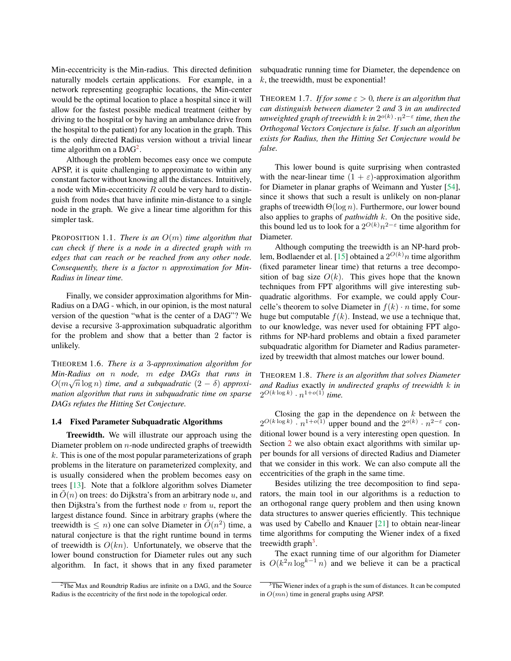Min-eccentricity is the Min-radius. This directed definition naturally models certain applications. For example, in a network representing geographic locations, the Min-center would be the optimal location to place a hospital since it will allow for the fastest possible medical treatment (either by driving to the hospital or by having an ambulance drive from the hospital to the patient) for any location in the graph. This is the only directed Radius version without a trivial linear time algorithm on a  $DAG<sup>2</sup>$  $DAG<sup>2</sup>$  $DAG<sup>2</sup>$ .

Although the problem becomes easy once we compute APSP, it is quite challenging to approximate to within any constant factor without knowing all the distances. Intuitively, a node with Min-eccentricity  $R$  could be very hard to distinguish from nodes that have infinite min-distance to a single node in the graph. We give a linear time algorithm for this simpler task.

PROPOSITION 1.1. *There is an* O(m) *time algorithm that can check if there is a node in a directed graph with* m *edges that can reach or be reached from any other node. Consequently, there is a factor* n *approximation for Min-Radius in linear time.*

Finally, we consider approximation algorithms for Min-Radius on a DAG - which, in our opinion, is the most natural version of the question "what is the center of a DAG"? We devise a recursive 3-approximation subquadratic algorithm for the problem and show that a better than 2 factor is unlikely.

THEOREM 1.6. *There is a* 3*-approximation algorithm for Min-Radius on* n *node,* m *edge DAGs that runs in*  $O(m\sqrt{n}\log n)$  *time, and a subquadratic*  $(2 - \delta)$  *approximation algorithm that runs in subquadratic time on sparse DAGs refutes the Hitting Set Conjecture.*

### 1.4 Fixed Parameter Subquadratic Algorithms

Treewidth. We will illustrate our approach using the Diameter problem on  $n$ -node undirected graphs of treewidth  $k$ . This is one of the most popular parameterizations of graph problems in the literature on parameterized complexity, and is usually considered when the problem becomes easy on trees [\[13\]](#page-13-15). Note that a folklore algorithm solves Diameter in  $O(n)$  on trees: do Dijkstra's from an arbitrary node u, and then Dijkstra's from the furthest node  $v$  from  $u$ , report the largest distance found. Since in arbitrary graphs (where the treewidth is  $\leq n$ ) one can solve Diameter in  $\tilde{O}(n^2)$  time, a natural conjecture is that the right runtime bound in terms of treewidth is  $O(kn)$ . Unfortunately, we observe that the lower bound construction for Diameter rules out any such algorithm. In fact, it shows that in any fixed parameter subquadratic running time for Diameter, the dependence on  $k$ , the treewidth, must be exponential!

THEOREM 1.7. *If for some*  $\varepsilon > 0$ , there is an algorithm that *can distinguish between diameter* 2 *and* 3 *in an undirected unweighted graph of treewidth k in*  $2^{o(k)} \cdot n^{2-\varepsilon}$  *time, then the Orthogonal Vectors Conjecture is false. If such an algorithm exists for Radius, then the Hitting Set Conjecture would be false.*

This lower bound is quite surprising when contrasted with the near-linear time  $(1 + \varepsilon)$ -approximation algorithm for Diameter in planar graphs of Weimann and Yuster [\[54\]](#page-14-16), since it shows that such a result is unlikely on non-planar graphs of treewidth  $\Theta(\log n)$ . Furthermore, our lower bound also applies to graphs of *pathwidth* k. On the positive side, this bound led us to look for a  $2^{O(k)}n^{2-\epsilon}$  time algorithm for Diameter.

Although computing the treewidth is an NP-hard prob-lem, Bodlaender et al. [\[15\]](#page-13-16) obtained a  $2^{O(k)}n$  time algorithm (fixed parameter linear time) that returns a tree decomposition of bag size  $O(k)$ . This gives hope that the known techniques from FPT algorithms will give interesting subquadratic algorithms. For example, we could apply Courcelle's theorem to solve Diameter in  $f(k) \cdot n$  time, for some huge but computable  $f(k)$ . Instead, we use a technique that, to our knowledge, was never used for obtaining FPT algorithms for NP-hard problems and obtain a fixed parameter subquadratic algorithm for Diameter and Radius parameterized by treewidth that almost matches our lower bound.

<span id="page-4-2"></span>THEOREM 1.8. *There is an algorithm that solves Diameter and Radius* exactly *in undirected graphs of treewidth* k *in*  $2^{O(k \log k)} \cdot n^{1+o(1)}$  *time.* 

Closing the gap in the dependence on  $k$  between the  $2^{O(k \log k)} \cdot n^{1+o(1)}$  upper bound and the  $2^{o(k)} \cdot n^{2-\epsilon}$  conditional lower bound is a very interesting open question. In Section [2](#page-5-0) we also obtain exact algorithms with similar upper bounds for all versions of directed Radius and Diameter that we consider in this work. We can also compute all the eccentricities of the graph in the same time.

Besides utilizing the tree decomposition to find separators, the main tool in our algorithms is a reduction to an orthogonal range query problem and then using known data structures to answer queries efficiently. This technique was used by Cabello and Knauer [\[21\]](#page-14-30) to obtain near-linear time algorithms for computing the Wiener index of a fixed treewidth graph<sup>[3](#page-4-1)</sup>.

The exact running time of our algorithm for Diameter is  $O(k^2 n \log^{k-1} n)$  and we believe it can be a practical

<span id="page-4-0"></span> $2$ The Max and Roundtrip Radius are infinite on a DAG, and the Source Radius is the eccentricity of the first node in the topological order.

<span id="page-4-1"></span> $3$ The Wiener index of a graph is the sum of distances. It can be computed in  $O(mn)$  time in general graphs using APSP.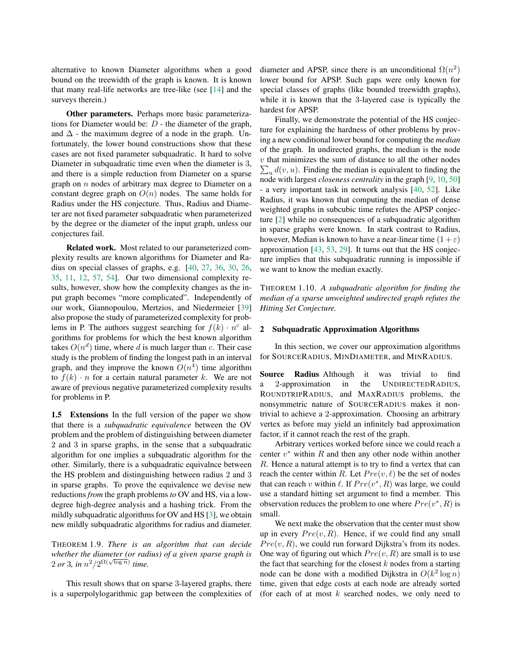alternative to known Diameter algorithms when a good bound on the treewidth of the graph is known. It is known that many real-life networks are tree-like (see [\[14\]](#page-13-17) and the surveys therein.)

Other parameters. Perhaps more basic parameterizations for Diameter would be:  $D$  - the diameter of the graph, and  $\Delta$  - the maximum degree of a node in the graph. Unfortunately, the lower bound constructions show that these cases are not fixed parameter subquadratic. It hard to solve Diameter in subquadratic time even when the diameter is 3, and there is a simple reduction from Diameter on a sparse graph on  $n$  nodes of arbitrary max degree to Diameter on a constant degree graph on  $O(n)$  nodes. The same holds for Radius under the HS conjecture. Thus, Radius and Diameter are not fixed parameter subquadratic when parameterized by the degree or the diameter of the input graph, unless our conjectures fail.

Related work. Most related to our parameterized complexity results are known algorithms for Diameter and Radius on special classes of graphs, e.g. [\[40,](#page-14-6) [27,](#page-14-7) [36,](#page-14-8) [30,](#page-14-9) [26,](#page-14-10) [35,](#page-14-11) [11,](#page-13-4) [12,](#page-13-5) [57,](#page-14-12) [54\]](#page-14-16). Our two dimensional complexity results, however, show how the complexity changes as the input graph becomes "more complicated". Independently of our work, Giannopoulou, Mertzios, and Niedermeier [\[39\]](#page-14-31) also propose the study of parameterized complexity for problems in P. The authors suggest searching for  $f(k) \cdot n^c$  algorithms for problems for which the best known algorithm takes  $O(n^d)$  time, where d is much larger than c. Their case study is the problem of finding the longest path in an interval graph, and they improve the known  $O(n^4)$  time algorithm to  $f(k) \cdot n$  for a certain natural parameter k. We are not aware of previous negative parameterized complexity results for problems in P.

1.5 Extensions In the full version of the paper we show that there is a *subquadratic equivalence* between the OV problem and the problem of distinguishing between diameter 2 and 3 in sparse graphs, in the sense that a subquadratic algorithm for one implies a subquadratic algorithm for the other. Similarly, there is a subquadratic equivalnce between the HS problem and distinguishing between radius 2 and 3 in sparse graphs. To prove the equivalence we devise new reductions *from* the graph problems *to* OV and HS, via a lowdegree high-degree analysis and a hashing trick. From the mildly subquadratic algorithms for OV and HS [\[3\]](#page-13-7), we obtain new mildly subquadratic algorithms for radius and diameter.

THEOREM 1.9. *There is an algorithm that can decide whether the diameter (or radius) of a given sparse graph is*  $2 \text{ or } 3$ , in  $n^2/2^{\Omega(\sqrt{\log n})}$  time.

This result shows that on sparse 3-layered graphs, there is a superpolylogarithmic gap between the complexities of

diameter and APSP, since there is an unconditional  $\Omega(n^2)$ lower bound for APSP. Such gaps were only known for special classes of graphs (like bounded treewidth graphs), while it is known that the 3-layered case is typically the hardest for APSP.

Finally, we demonstrate the potential of the HS conjecture for explaining the hardness of other problems by proving a new conditional lower bound for computing the *median* of the graph. In undirected graphs, the median is the node v that minimizes the sum of distance to all the other nodes  $\sum_u d(v, u)$ . Finding the median is equivalent to finding the node with largest *closeness centrality* in the graph [\[9,](#page-13-18) [10,](#page-13-19) [50\]](#page-14-32) - a very important task in network analysis [\[40,](#page-14-6) [52\]](#page-14-33). Like Radius, it was known that computing the median of dense weighted graphs in subcubic time refutes the APSP conjecture [\[2\]](#page-12-0) while no consequences of a subquadratic algorithm in sparse graphs were known. In stark contrast to Radius, however, Median is known to have a near-linear time  $(1 + \varepsilon)$ approximation [\[43,](#page-14-34) [53,](#page-14-35) [29\]](#page-14-36). It turns out that the HS conjecture implies that this subquadratic running is impossible if we want to know the median exactly.

THEOREM 1.10. *A subquadratic algorithm for finding the median of a sparse unweighted undirected graph refutes the Hitting Set Conjecture.*

### <span id="page-5-0"></span>2 Subquadratic Approximation Algorithms

In this section, we cover our approximation algorithms for SOURCERADIUS, MINDIAMETER, and MINRADIUS.

Source Radius Although it was trivial to find a 2-approximation in the UNDIRECTEDRADIUS, ROUNDTRIPRADIUS, and MAXRADIUS problems, the nonsymmetric nature of SOURCERADIUS makes it nontrivial to achieve a 2-approximation. Choosing an arbitrary vertex as before may yield an infinitely bad approximation factor, if it cannot reach the rest of the graph.

Arbitrary vertices worked before since we could reach a center  $v^*$  within  $R$  and then any other node within another  $R$ . Hence a natural attempt is to try to find a vertex that can reach the center within R. Let  $Pre(v, \ell)$  be the set of nodes that can reach v within  $\ell$ . If  $Pre(v^*, R)$  was large, we could use a standard hitting set argument to find a member. This observation reduces the problem to one where  $Pre(v^*, R)$  is small.

We next make the observation that the center must show up in every  $Pre(v, R)$ . Hence, if we could find any small  $Pre(v, R)$ , we could run forward Dijkstra's from its nodes. One way of figuring out which  $Pre(v, R)$  are small is to use the fact that searching for the closest  $k$  nodes from a starting node can be done with a modified Dijkstra in  $O(k^2 \log n)$ time, given that edge costs at each node are already sorted (for each of at most  $k$  searched nodes, we only need to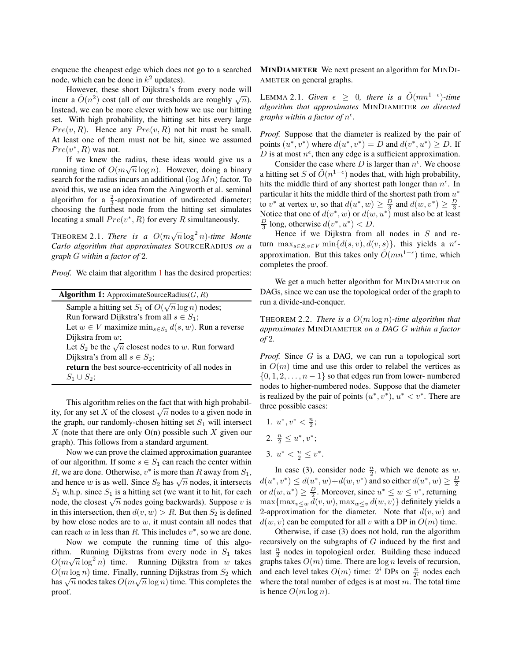enqueue the cheapest edge which does not go to a searched node, which can be done in  $k^2$  updates).

However, these short Dijkstra's from every node will incur a  $\tilde{O}(n^2)$  cost (all of our thresholds are roughly  $\sqrt{n}$ ). Instead, we can be more clever with how we use our hitting set. With high probability, the hitting set hits every large  $Pre(v, R)$ . Hence any  $Pre(v, R)$  not hit must be small. At least one of them must not be hit, since we assumed  $Pre(v^*, R)$  was not.

If we knew the radius, these ideas would give us a running time of  $O(m\sqrt{n}\log n)$ . However, doing a binary search for the radius incurs an additional ( $\log Mn$ ) factor. To avoid this, we use an idea from the Aingworth et al. seminal algorithm for a  $\frac{2}{3}$ -approximation of undirected diameter; choosing the furthest node from the hitting set simulates locating a small  $Pre(v^*, R)$  for every R simultaneously.

**THEOREM 2.1.** *There is a*  $O(m\sqrt{n}\log^2 n)$ *-time Monte Carlo algorithm that approximates* SOURCERADIUS *on a graph* G *within a factor of* 2*.*

<span id="page-6-0"></span>*Proof.* We claim that algorithm [1](#page-6-0) has the desired properties:

| <b>Algorithm 1:</b> ApproximateSourceRadius $(G, R)$              |
|-------------------------------------------------------------------|
| Sample a hitting set $S_1$ of $O(\sqrt{n} \log n)$ nodes;         |
| Run forward Dijkstra's from all $s \in S_1$ ;                     |
| Let $w \in V$ maximize $\min_{s \in S_1} d(s, w)$ . Run a reverse |
| Dijkstra from $w$ ;                                               |
| Let $S_2$ be the $\sqrt{n}$ closest nodes to w. Run forward       |
| Dijkstra's from all $s \in S_2$ ;                                 |
| return the best source-eccentricity of all nodes in               |
| $S_1\cup S_2$                                                     |

This algorithm relies on the fact that with high probability, for any set X of the closest  $\sqrt{n}$  nodes to a given node in the graph, our randomly-chosen hitting set  $S_1$  will intersect X (note that there are only  $O(n)$  possible such X given our graph). This follows from a standard argument.

Now we can prove the claimed approximation guarantee of our algorithm. If some  $s \in S_1$  can reach the center within R, we are done. Otherwise,  $v^*$  is more than R away from  $S_1$ , and hence w is as well. Since  $S_2$  has  $\sqrt{n}$  nodes, it intersects  $S_1$  w.h.p. since  $S_1$  is a hitting set (we want it to hit, for each node, the closest  $\sqrt{n}$  nodes going backwards). Suppose v is in this intersection, then  $d(v, w) > R$ . But then  $S_2$  is defined by how close nodes are to  $w$ , it must contain all nodes that can reach  $w$  in less than  $R$ . This includes  $v^*$ , so we are done.

Now we compute the running time of this algorithm. Running Dijkstras from every node in  $S_1$  takes  $O(m\sqrt{n}\log^2 n)$  time. Running Dijkstra from w takes  $O(m \log n)$  time. Finally, running Dijkstras from  $S_2$  which has  $\sqrt{n}$  nodes takes  $O(m\sqrt{n}\log n)$  time. This completes the proof.

MINDIAMETER We next present an algorithm for MINDI-AMETER on general graphs.

<span id="page-6-1"></span>LEMMA 2.1. *Given*  $\epsilon$  ≥ 0*, there is a*  $\tilde{O}(mn^{1-\epsilon})$ -time *algorithm that approximates* MINDIAMETER *on directed* graphs within a factor of  $n^{\epsilon}$ .

*Proof.* Suppose that the diameter is realized by the pair of points  $(u^*, v^*)$  where  $d(u^*, v^*) = D$  and  $d(v^*, u^*) \ge D$ . If D is at most  $n^{\epsilon}$ , then any edge is a sufficient approximation.

Consider the case where D is larger than  $n^{\epsilon}$ . We choose a hitting set S of  $\tilde{O}(n^{1-\epsilon})$  nodes that, with high probability, hits the middle third of any shortest path longer than  $n^{\epsilon}$ . In particular it hits the middle third of the shortest path from  $u^*$ to  $v^*$  at vertex w, so that  $d(u^*, w) \geq \frac{D}{3}$  and  $d(w, v^*) \geq \frac{D}{3}$ . Notice that one of  $d(v^*, w)$  or  $d(w, u^*)$  must also be at least  $\frac{D}{3}$  long, otherwise  $d(v^*, u^*)$  < D.

Hence if we Dijkstra from all nodes in  $S$  and return  $\max_{s \in S, v \in V} \min\{d(s, v), d(v, s)\}\$ , this yields a  $n^{\epsilon}$ approximation. But this takes only  $\tilde{O}(mn^{1-\epsilon})$  time, which completes the proof.

We get a much better algorithm for MINDIAMETER on DAGs, since we can use the topological order of the graph to run a divide-and-conquer.

THEOREM 2.2. *There is a* O(m log n)*-time algorithm that approximates* MINDIAMETER *on a DAG* G *within a factor of* 2*.*

*Proof.* Since G is a DAG, we can run a topological sort in  $O(m)$  time and use this order to relabel the vertices as  $\{0, 1, 2, \ldots, n-1\}$  so that edges run from lower- numbered nodes to higher-numbered nodes. Suppose that the diameter is realized by the pair of points  $(u^*, v^*)$ ,  $u^* < v^*$ . There are three possible cases:

- 1.  $u^*, v^* < \frac{n}{2}$ ;
- 2.  $\frac{n}{2} \leq u^*, v^*;$
- 3.  $u^* < \frac{n}{2} \le v^*$ .

In case (3), consider node  $\frac{n}{2}$ , which we denote as w.  $d(u^*,v^*) \leq d(u^*,w) + d(w,v^*)$  and so either  $d(u^*,w) \geq \frac{D}{2}$ or  $d(w, u^*) \ge \frac{D}{2}$ . Moreover, since  $u^* \le w \le v^*$ , returning  $\max\{\max_{v\leq w}\bar{d}(v, w), \max_{w\leq v}\bar{d}(w, v)\}\$  definitely yields a 2-approximation for the diameter. Note that  $d(v, w)$  and  $d(w, v)$  can be computed for all v with a DP in  $O(m)$  time.

Otherwise, if case (3) does not hold, run the algorithm recursively on the subgraphs of G induced by the first and last  $\frac{n}{2}$  nodes in topological order. Building these induced graphs takes  $O(m)$  time. There are  $\log n$  levels of recursion, and each level takes  $O(m)$  time:  $2^i$  DPs on  $\frac{n}{2^i}$  nodes each where the total number of edges is at most  $m$ . The total time is hence  $O(m \log n)$ .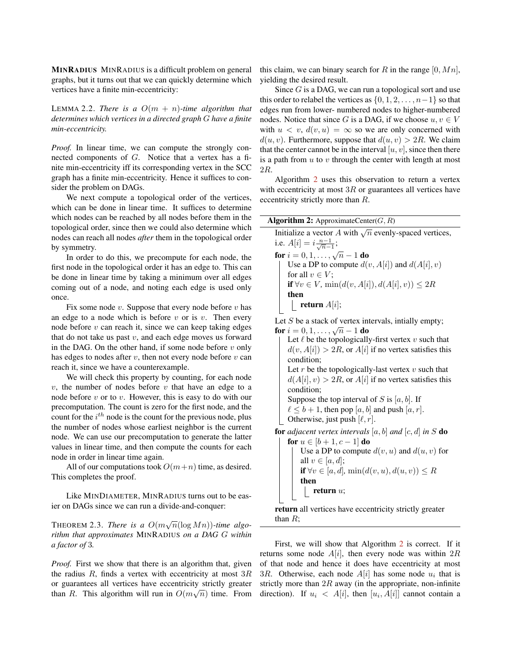MINRADIUS MINRADIUS is a difficult problem on general graphs, but it turns out that we can quickly determine which vertices have a finite min-eccentricity:

LEMMA 2.2. *There is a*  $O(m + n)$ -time algorithm that *determines which vertices in a directed graph* G *have a finite min-eccentricity.*

*Proof.* In linear time, we can compute the strongly connected components of G. Notice that a vertex has a finite min-eccentricity iff its corresponding vertex in the SCC graph has a finite min-eccentricity. Hence it suffices to consider the problem on DAGs.

We next compute a topological order of the vertices, which can be done in linear time. It suffices to determine which nodes can be reached by all nodes before them in the topological order, since then we could also determine which nodes can reach all nodes *after* them in the topological order by symmetry.

In order to do this, we precompute for each node, the first node in the topological order it has an edge to. This can be done in linear time by taking a minimum over all edges coming out of a node, and noting each edge is used only once.

Fix some node  $v$ . Suppose that every node before  $v$  has an edge to a node which is before  $v$  or is  $v$ . Then every node before  $v$  can reach it, since we can keep taking edges that do not take us past  $v$ , and each edge moves us forward in the DAG. On the other hand, if some node before  $v$  only has edges to nodes after  $v$ , then not every node before  $v$  can reach it, since we have a counterexample.

We will check this property by counting, for each node  $v$ , the number of nodes before  $v$  that have an edge to a node before  $v$  or to  $v$ . However, this is easy to do with our precomputation. The count is zero for the first node, and the count for the  $i^{th}$  node is the count for the previous node, plus the number of nodes whose earliest neighbor is the current node. We can use our precomputation to generate the latter values in linear time, and then compute the counts for each node in order in linear time again.

All of our computations took  $O(m+n)$  time, as desired. This completes the proof.

Like MINDIAMETER, MINRADIUS turns out to be easier on DAGs since we can run a divide-and-conquer:

**THEOREM 2.3.** *There is a*  $O(m\sqrt{n}(\log Mn))$ *-time algorithm that approximates* MINRADIUS *on a DAG* G *within a factor of* 3*.*

*Proof.* First we show that there is an algorithm that, given the radius  $R$ , finds a vertex with eccentricity at most  $3R$ or guarantees all vertices have eccentricity strictly greater than R. This algorithm will run in  $O(m\sqrt{n})$  time. From

this claim, we can binary search for R in the range  $[0, Mn]$ , yielding the desired result.

Since G is a DAG, we can run a topological sort and use this order to relabel the vertices as  $\{0, 1, 2, \ldots, n-1\}$  so that edges run from lower- numbered nodes to higher-numbered nodes. Notice that since G is a DAG, if we choose  $u, v \in V$ with  $u < v, d(v, u) = \infty$  so we are only concerned with  $d(u, v)$ . Furthermore, suppose that  $d(u, v) > 2R$ . We claim that the center cannot be in the interval  $[u, v]$ , since then there is a path from  $u$  to  $v$  through the center with length at most 2R.

Algorithm [2](#page-7-0) uses this observation to return a vertex with eccentricity at most  $3R$  or guarantees all vertices have eccentricity strictly more than R.

Algorithm 2: ApproximateCenter( $G, R$ )

<span id="page-7-0"></span>Initialize a vector A with  $\sqrt{n}$  evenly-spaced vertices, i.e.  $A[i] = i \frac{n-1}{\sqrt{n}-1};$ for  $i = 0, 1, \ldots, \sqrt{n-1}$  do Use a DP to compute  $d(v, A[i])$  and  $d(A[i], v)$ for all  $v \in V$ ; if  $\forall v \in V$ ,  $\min(d(v, A[i]), d(A[i], v)) \leq 2R$ then **return**  $A[i]$ ;

Let  $S$  be a stack of vertex intervals, intially empty; for  $i = 0, 1, ..., \sqrt{n-1}$  do

Let  $\ell$  be the topologically-first vertex  $v$  such that  $d(v, A[i]) > 2R$ , or  $A[i]$  if no vertex satisfies this condition; Let r be the topologically-last vertex  $v$  such that  $d(A[i], v) > 2R$ , or  $A[i]$  if no vertex satisfies this condition;

Suppose the top interval of S is  $[a, b]$ . If

 $\ell \leq b + 1$ , then pop [a, b] and push [a, r]. Otherwise, just push  $[\ell, r]$ .

for *adjacent vertex intervals* [a, b] *and* [c, d] *in* S do for  $u \in [b+1, c-1]$  do

Use a DP to compute 
$$
d(v, u)
$$
 and  $d(u, v)$  for  
all  $v \in [a, d]$ ;  
if  $\forall v \in [a, d]$ , min $(d(v, u), d(u, v)) \le R$   
then  
Leturn  $u$ ;

return all vertices have eccentricity strictly greater than  $R$ ;

First, we will show that Algorithm [2](#page-7-0) is correct. If it returns some node  $A[i]$ , then every node was within  $2R$ of that node and hence it does have eccentricity at most 3R. Otherwise, each node  $A[i]$  has some node  $u_i$  that is strictly more than  $2R$  away (in the appropriate, non-infinite direction). If  $u_i \, \langle A[i], \, \text{then } [u_i, A[i]]$  cannot contain a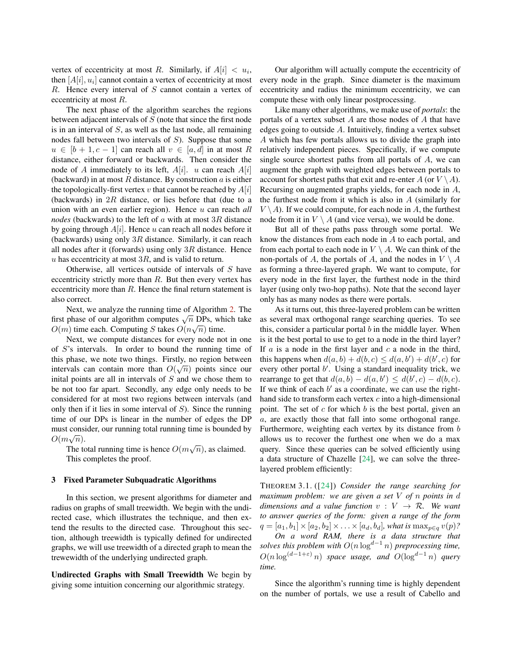vertex of eccentricity at most R. Similarly, if  $A[i] < u_i$ , then  $[A[i], u_i]$  cannot contain a vertex of eccentricity at most R. Hence every interval of S cannot contain a vertex of eccentricity at most R.

The next phase of the algorithm searches the regions between adjacent intervals of S (note that since the first node is in an interval of  $S$ , as well as the last node, all remaining nodes fall between two intervals of S). Suppose that some  $u \in [b+1, c-1]$  can reach all  $v \in [a, d]$  in at most R distance, either forward or backwards. Then consider the node of A immediately to its left,  $A[i]$ . u can reach  $A[i]$ (backward) in at most  $R$  distance. By construction  $\alpha$  is either the topologically-first vertex v that cannot be reached by  $A[i]$ (backwards) in  $2R$  distance, or lies before that (due to a union with an even earlier region). Hence u can reach *all nodes* (backwards) to the left of a with at most 3R distance by going through  $A[i]$ . Hence u can reach all nodes before it (backwards) using only  $3R$  distance. Similarly, it can reach all nodes after it (forwards) using only  $3R$  distance. Hence u has eccentricity at most  $3R$ , and is valid to return.

Otherwise, all vertices outside of intervals of  $S$  have eccentricity strictly more than  $R$ . But then every vertex has eccentricity more than  $R$ . Hence the final return statement is also correct.

Next, we analyze the running time of Algorithm [2.](#page-7-0) The first phase of our algorithm computes  $\sqrt{n}$  DPs, which take  $O(m)$  time each. Computing S takes  $O(n\sqrt{n})$  time.

Next, we compute distances for every node not in one of S's intervals. In order to bound the running time of this phase, we note two things. Firstly, no region between intervals can contain more than  $O(\sqrt{n})$  points since our inital points are all in intervals of  $S$  and we chose them to be not too far apart. Secondly, any edge only needs to be considered for at most two regions between intervals (and only then if it lies in some interval of  $S$ ). Since the running time of our DPs is linear in the number of edges the DP must consider, our running total running time is bounded by  $O(m\sqrt{n}).$ 

The total running time is hence  $O(m\sqrt{n})$ , as claimed. This completes the proof.

#### 3 Fixed Parameter Subquadratic Algorithms

In this section, we present algorithms for diameter and radius on graphs of small treewidth. We begin with the undirected case, which illustrates the technique, and then extend the results to the directed case. Throughout this section, although treewidth is typically defined for undirected graphs, we will use treewidth of a directed graph to mean the trewewidth of the underlying undirected graph.

Undirected Graphs with Small Treewidth We begin by giving some intuition concerning our algorithmic strategy.

Our algorithm will actually compute the eccentricity of every node in the graph. Since diameter is the maximum eccentricity and radius the minimum eccentricity, we can compute these with only linear postprocessing.

Like many other algorithms, we make use of *portals*: the portals of a vertex subset  $A$  are those nodes of  $A$  that have edges going to outside A. Intuitively, finding a vertex subset A which has few portals allows us to divide the graph into relatively independent pieces. Specifically, if we compute single source shortest paths from all portals of A, we can augment the graph with weighted edges between portals to account for shortest paths that exit and re-enter  $A$  (or  $V \setminus A$ ). Recursing on augmented graphs yields, for each node in A, the furthest node from it which is also in  $A$  (similarly for  $V \setminus A$ ). If we could compute, for each node in A, the furthest node from it in  $V \setminus A$  (and vice versa), we would be done.

But all of these paths pass through some portal. We know the distances from each node in A to each portal, and from each portal to each node in  $V \setminus A$ . We can think of the non-portals of A, the portals of A, and the nodes in  $V \setminus A$ as forming a three-layered graph. We want to compute, for every node in the first layer, the furthest node in the third layer (using only two-hop paths). Note that the second layer only has as many nodes as there were portals.

As it turns out, this three-layered problem can be written as several max orthogonal range searching queries. To see this, consider a particular portal  $b$  in the middle layer. When is it the best portal to use to get to a node in the third layer? If  $\alpha$  is a node in the first layer and  $\alpha$  a node in the third, this happens when  $d(a, b) + d(b, c) \leq d(a, b') + d(b', c)$  for every other portal  $b'$ . Using a standard inequality trick, we rearrange to get that  $d(a, b) - d(a, b') \le d(b', c) - d(b, c)$ . If we think of each  $b'$  as a coordinate, we can use the righthand side to transform each vertex  $c$  into a high-dimensional point. The set of  $c$  for which  $b$  is the best portal, given an a, are exactly those that fall into some orthogonal range. Furthermore, weighting each vertex by its distance from b allows us to recover the furthest one when we do a max query. Since these queries can be solved efficiently using a data structure of Chazelle [\[24\]](#page-14-37), we can solve the threelayered problem efficiently:

THEOREM 3.1. ([\[24\]](#page-14-37)) *Consider the range searching for maximum problem: we are given a set* V *of* n *points in* d *dimensions and a value function*  $v : V \rightarrow \mathcal{R}$ *. We want to answer queries of the form: given a range of the form*  $q = [a_1, b_1] \times [a_2, b_2] \times ... \times [a_d, b_d]$ *, what is* max<sub>p∈q</sub> v(p)? *On a word RAM, there is a data structure that solves this problem with*  $O(n \log^{d-1} n)$  *preprocessing time,*  $O(n \log^{(d-1+\varepsilon)} n)$  *space usage, and*  $O(\log^{d-1} n)$  *query time.*

Since the algorithm's running time is highly dependent on the number of portals, we use a result of Cabello and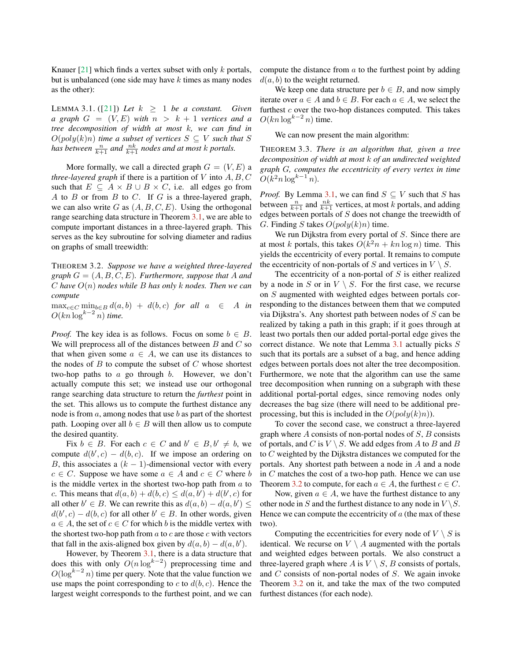Knauer [\[21\]](#page-14-30) which finds a vertex subset with only  $k$  portals, but is unbalanced (one side may have  $k$  times as many nodes as the other):

LEMMA 3.1. ([\[21\]](#page-14-30)) Let  $k \geq 1$  be a constant. Given *a graph*  $G = (V, E)$  *with*  $n > k + 1$  *vertices and a tree decomposition of width at most* k*, we can find in*  $O(poly(k)n)$  *time a subset of vertices*  $S \subseteq V$  *such that* S has between  $\frac{n}{k+1}$  and  $\frac{nk}{k+1}$  nodes and at most k portals.

More formally, we call a directed graph  $G = (V, E)$  a *three-layered graph* if there is a partition of  $V$  into  $A, B, C$ such that  $E \subseteq A \times B \cup B \times C$ , i.e. all edges go from A to  $B$  or from  $B$  to  $C$ . If  $G$  is a three-layered graph, we can also write G as  $(A, B, C, E)$ . Using the orthogonal range searching data structure in Theorem [3.1,](#page-2-0) we are able to compute important distances in a three-layered graph. This serves as the key subroutine for solving diameter and radius on graphs of small treewidth:

THEOREM 3.2. *Suppose we have a weighted three-layered graph*  $G = (A, B, C, E)$ *. Furthermore, suppose that* A *and* C *have* O(n) *nodes while* B *has only* k *nodes. Then we can compute*

 $\max_{c \in C} \min_{b \in B} d(a, b) + d(b, c)$  *for all*  $a \in A$  *in*  $O(kn\log^{k-2} n)$  time.

*Proof.* The key idea is as follows. Focus on some  $b \in B$ . We will preprocess all of the distances between  $B$  and  $C$  so that when given some  $a \in A$ , we can use its distances to the nodes of  $B$  to compute the subset of  $C$  whose shortest two-hop paths to  $a$  go through  $b$ . However, we don't actually compute this set; we instead use our orthogonal range searching data structure to return the *furthest* point in the set. This allows us to compute the furthest distance any node is from  $a$ , among nodes that use  $b$  as part of the shortest path. Looping over all  $b \in B$  will then allow us to compute the desired quantity.

Fix  $b \in B$ . For each  $c \in C$  and  $b' \in B$ ,  $b' \neq b$ , we compute  $d(b', c) - d(b, c)$ . If we impose an ordering on B, this associates a  $(k - 1)$ -dimensional vector with every  $c \in C$ . Suppose we have some  $a \in A$  and  $c \in C$  where b is the middle vertex in the shortest two-hop path from  $a$  to c. This means that  $d(a, b) + d(b, c) \leq d(a, b') + d(b', c)$  for all other  $b' \in B$ . We can rewrite this as  $d(a, b) - d(a, b') \leq$  $d(b', c) - d(b, c)$  for all other  $b' \in B$ . In other words, given  $a \in A$ , the set of  $c \in C$  for which b is the middle vertex with the shortest two-hop path from  $a$  to  $c$  are those  $c$  with vectors that fall in the axis-aligned box given by  $d(a, b) - d(a, b')$ .

However, by Theorem [3.1,](#page-2-0) there is a data structure that does this with only  $O(n \log^{k-2})$  preprocessing time and  $O(\log^{k-2} n)$  time per query. Note that the value function we use maps the point corresponding to c to  $d(b, c)$ . Hence the largest weight corresponds to the furthest point, and we can compute the distance from  $\alpha$  to the furthest point by adding  $d(a, b)$  to the weight returned.

We keep one data structure per  $b \in B$ , and now simply iterate over  $a \in A$  and  $b \in B$ . For each  $a \in A$ , we select the furthest  $c$  over the two-hop distances computed. This takes  $O(kn\log^{k-2} n)$  time.

We can now present the main algorithm:

THEOREM 3.3. *There is an algorithm that, given a tree decomposition of width at most* k *of an undirected weighted graph* G*, computes the eccentricity of every vertex in time*  $O(k^2 n \log^{k-1} n)$ .

*Proof.* By Lemma [3.1,](#page-6-1) we can find  $S \subseteq V$  such that S has between  $\frac{n}{k+1}$  and  $\frac{nk}{k+1}$  vertices, at most k portals, and adding edges between portals of  $S$  does not change the treewidth of G. Finding S takes  $O(poly(k)n)$  time.

We run Dijkstra from every portal of S. Since there are at most k portals, this takes  $O(k^2n + kn \log n)$  time. This yields the eccentricity of every portal. It remains to compute the eccentricity of non-portals of S and vertices in  $V \setminus S$ .

The eccentricity of a non-portal of  $S$  is either realized by a node in S or in  $V \setminus S$ . For the first case, we recurse on S augmented with weighted edges between portals corresponding to the distances between them that we computed via Dijkstra's. Any shortest path between nodes of  $S$  can be realized by taking a path in this graph; if it goes through at least two portals then our added portal-portal edge gives the correct distance. We note that Lemma [3.1](#page-6-1) actually picks S such that its portals are a subset of a bag, and hence adding edges between portals does not alter the tree decomposition. Furthermore, we note that the algorithm can use the same tree decomposition when running on a subgraph with these additional portal-portal edges, since removing nodes only decreases the bag size (there will need to be additional preprocessing, but this is included in the  $O(poly(k)n)$ .

To cover the second case, we construct a three-layered graph where  $A$  consists of non-portal nodes of  $S$ ,  $B$  consists of portals, and C is  $V \setminus S$ . We add edges from A to B and B to C weighted by the Dijkstra distances we computed for the portals. Any shortest path between a node in A and a node in  $C$  matches the cost of a two-hop path. Hence we can use Theorem [3.2](#page-3-1) to compute, for each  $a \in A$ , the furthest  $c \in C$ .

Now, given  $a \in A$ , we have the furthest distance to any other node in S and the furthest distance to any node in  $V \setminus S$ . Hence we can compute the eccentricity of  $a$  (the max of these two).

Computing the eccentricities for every node of  $V \setminus S$  is identical. We recurse on  $V \setminus A$  augmented with the portals and weighted edges between portals. We also construct a three-layered graph where A is  $V \setminus S$ , B consists of portals, and  $C$  consists of non-portal nodes of  $S$ . We again invoke Theorem [3.2](#page-3-1) on it, and take the max of the two computed furthest distances (for each node).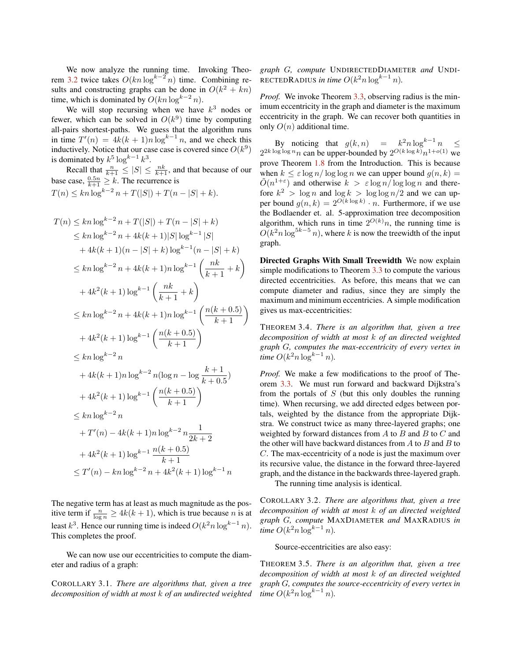We now analyze the running time. Invoking Theo-rem [3.2](#page-3-1) twice takes  $O(kn \log^{k-2} n)$  time. Combining results and constructing graphs can be done in  $O(k^2 + kn)$ time, which is dominated by  $O(kn \log^{k-2} n)$ .

We will stop recursing when we have  $k^3$  nodes or fewer, which can be solved in  $O(k^9)$  time by computing all-pairs shortest-paths. We guess that the algorithm runs in time  $T'(n) = 4k(k + 1)n \log^{k-1} n$ , and we check this inductively. Notice that our case case is covered since  $O(k^9)$ is dominated by  $k^5 \log^{k-1} k^3$ .

Recall that  $\frac{n}{k+1} \leq |S| \leq \frac{nk}{k+1}$ , and that because of our base case,  $\frac{0.5n}{k+1} \geq k$ . The recurrence is  $T(n) \leq kn \log^{k-2} n + T(|S|) + T(n-|S|+k).$ 

$$
T(n) \leq kn \log^{k-2} n + T(|S|) + T(n - |S| + k)
$$
  
\n
$$
\leq kn \log^{k-2} n + 4k(k+1)|S| \log^{k-1} |S|
$$
  
\n
$$
+ 4k(k+1)(n - |S| + k) \log^{k-1} (n - |S| + k)
$$
  
\n
$$
\leq kn \log^{k-2} n + 4k(k+1)n \log^{k-1} \left(\frac{nk}{k+1} + k\right)
$$
  
\n
$$
+ 4k^2(k+1) \log^{k-1} \left(\frac{nk}{k+1} + k\right)
$$
  
\n
$$
\leq kn \log^{k-2} n + 4k(k+1)n \log^{k-1} \left(\frac{n(k+0.5)}{k+1}\right)
$$
  
\n
$$
+ 4k^2(k+1) \log^{k-1} \left(\frac{n(k+0.5)}{k+1}\right)
$$
  
\n
$$
\leq kn \log^{k-2} n
$$
  
\n
$$
+ 4k(k+1)n \log^{k-2} n (\log n - \log \frac{k+1}{k+0.5})
$$
  
\n
$$
+ 4k^2(k+1) \log^{k-1} \left(\frac{n(k+0.5)}{k+1}\right)
$$
  
\n
$$
\leq kn \log^{k-2} n
$$
  
\n
$$
+ T'(n) - 4k(k+1)n \log^{k-2} n \frac{1}{2k+2}
$$
  
\n
$$
+ 4k^2(k+1) \log^{k-1} \frac{n(k+0.5)}{k+1}
$$
  
\n
$$
\leq T'(n) - kn \log^{k-2} n + 4k^2(k+1) \log^{k-1} n
$$

The negative term has at least as much magnitude as the positive term if  $\frac{n}{\log n} \ge 4k(k+1)$ , which is true because *n* is at least  $k^3$ . Hence our running time is indeed  $O(k^2 n \log^{k-1} n)$ . This completes the proof.

We can now use our eccentricities to compute the diameter and radius of a graph:

COROLLARY 3.1. *There are algorithms that, given a tree decomposition of width at most* k *of an undirected weighted* *graph* G*, compute* UNDIRECTEDDIAMETER *and* UNDI-RECTEDRADIUS *in time*  $O(k^2 n \log^{k-1} n)$ .

*Proof.* We invoke Theorem [3.3,](#page-3-2) observing radius is the minimum eccentricity in the graph and diameter is the maximum eccentricity in the graph. We can recover both quantities in only  $O(n)$  additional time.

By noticing that  $g(k,n) = k^2 n \log^{k-1} n \le$  $2^{2k \log \log n} n$  can be upper-bounded by  $2^{O(k \log k)} n^{1+o(1)}$  we prove Theorem [1.8](#page-4-2) from the Introduction. This is because when  $k \leq \varepsilon \log n / \log \log n$  we can upper bound  $g(n, k) =$  $\tilde{O}(n^{1+\epsilon})$  and otherwise  $k > \epsilon \log n / \log \log n$  and therefore  $k^2 > \log n$  and  $\log k > \log \log n/2$  and we can upper bound  $g(n, k) = 2^{O(k \log k)} \cdot n$ . Furthermore, if we use the Bodlaender et. al. 5-approximation tree decomposition algorithm, which runs in time  $2^{O(k)}n$ , the running time is  $O(k^2 n \log^{5k-5} n)$ , where k is now the treewidth of the input graph.

Directed Graphs With Small Treewidth We now explain simple modifications to Theorem [3.3](#page-3-2) to compute the various directed eccentricities. As before, this means that we can compute diameter and radius, since they are simply the maximum and minimum eccentricies. A simple modification gives us max-eccentricities:

THEOREM 3.4. *There is an algorithm that, given a tree decomposition of width at most* k *of an directed weighted graph* G*, computes the max-eccentricity of every vertex in*  $time O(k^2 n \log^{k-1} n)$ .

*Proof.* We make a few modifications to the proof of Theorem [3.3.](#page-3-2) We must run forward and backward Dijkstra's from the portals of  $S$  (but this only doubles the running time). When recursing, we add directed edges between portals, weighted by the distance from the appropriate Dijkstra. We construct twice as many three-layered graphs; one weighted by forward distances from  $A$  to  $B$  and  $B$  to  $C$  and the other will have backward distances from  $A$  to  $B$  and  $B$  to C. The max-eccentricity of a node is just the maximum over its recursive value, the distance in the forward three-layered graph, and the distance in the backwards three-layered graph. The running time analysis is identical.

COROLLARY 3.2. *There are algorithms that, given a tree decomposition of width at most* k *of an directed weighted graph* G*, compute* MAXDIAMETER *and* MAXRADIUS *in*  $time O(k^2 n \log^{k-1} n)$ .

Source-eccentricities are also easy:

THEOREM 3.5. *There is an algorithm that, given a tree decomposition of width at most* k *of an directed weighted graph* G*, computes the source-eccentricity of every vertex in*  $time O(k^2 n \log^{k-1} n)$ .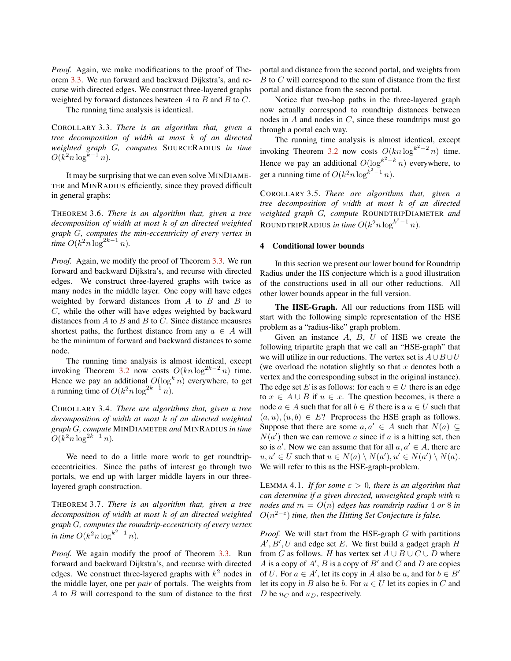*Proof.* Again, we make modifications to the proof of Theorem [3.3.](#page-3-2) We run forward and backward Dijkstra's, and recurse with directed edges. We construct three-layered graphs weighted by forward distances bewteen  $A$  to  $B$  and  $B$  to  $C$ .

The running time analysis is identical.

COROLLARY 3.3. *There is an algorithm that, given a tree decomposition of width at most* k *of an directed weighted graph* G*, computes* SOURCERADIUS *in time*  $O(k^2 n \log^{k-1} n)$ .

It may be surprising that we can even solve MINDIAME-TER and MINRADIUS efficiently, since they proved difficult in general graphs:

THEOREM 3.6. *There is an algorithm that, given a tree decomposition of width at most* k *of an directed weighted graph* G*, computes the min-eccentricity of every vertex in time*  $O(k^2 n \log^{2k-1} n)$ *.* 

*Proof.* Again, we modify the proof of Theorem [3.3.](#page-3-2) We run forward and backward Dijkstra's, and recurse with directed edges. We construct three-layered graphs with twice as many nodes in the middle layer. One copy will have edges weighted by forward distances from  $A$  to  $B$  and  $B$  to C, while the other will have edges weighted by backward distances from  $A$  to  $B$  and  $B$  to  $C$ . Since distance meausres shortest paths, the furthest distance from any  $a \in A$  will be the minimum of forward and backward distances to some node.

The running time analysis is almost identical, except invoking Theorem [3.2](#page-3-1) now costs  $O(kn \log^{2k-2} n)$  time. Hence we pay an additional  $O(\log^k n)$  everywhere, to get a running time of  $O(k^2 n \log^{2k-1} n)$ .

COROLLARY 3.4. *There are algorithms that, given a tree decomposition of width at most* k *of an directed weighted graph* G*, compute* MINDIAMETER *and* MINRADIUS *in time*  $O(k^2 n \log^{2k-1} n)$ .

We need to do a little more work to get roundtripeccentricities. Since the paths of interest go through two portals, we end up with larger middle layers in our threelayered graph construction.

THEOREM 3.7. *There is an algorithm that, given a tree decomposition of width at most* k *of an directed weighted graph* G*, computes the roundtrip-eccentricity of every vertex in time*  $O(k^2 n \log^{k^2-1} n)$ *.* 

*Proof.* We again modify the proof of Theorem [3.3.](#page-3-2) Run forward and backward Dijkstra's, and recurse with directed edges. We construct three-layered graphs with  $k^2$  nodes in the middle layer, one per *pair* of portals. The weights from A to B will correspond to the sum of distance to the first

portal and distance from the second portal, and weights from  $B$  to  $C$  will correspond to the sum of distance from the first portal and distance from the second portal.

Notice that two-hop paths in the three-layered graph now actually correspond to roundtrip distances between nodes in  $A$  and nodes in  $C$ , since these roundtrips must go through a portal each way.

The running time analysis is almost identical, except invoking Theorem [3.2](#page-3-1) now costs  $O(kn \log^{k^2-2} n)$  time. Hence we pay an additional  $O(\log^{k^2-k} n)$  everywhere, to get a running time of  $O(k^2 n \log^{k^2-1} n)$ .

COROLLARY 3.5. *There are algorithms that, given a tree decomposition of width at most* k *of an directed weighted graph* G*, compute* ROUNDTRIPDIAMETER *and* ROUNDTRIPRADIUS *in time*  $O(k^2 n \log^{k^2-1} n)$ .

## 4 Conditional lower bounds

In this section we present our lower bound for Roundtrip Radius under the HS conjecture which is a good illustration of the constructions used in all our other reductions. All other lower bounds appear in the full version.

The HSE-Graph. All our reductions from HSE will start with the following simple representation of the HSE problem as a "radius-like" graph problem.

Given an instance A, B, U of HSE we create the following tripartite graph that we call an "HSE-graph" that we will utilize in our reductions. The vertex set is  $A \cup B \cup U$ (we overload the notation slightly so that  $x$  denotes both a vertex and the corresponding subset in the original instance). The edge set E is as follows: for each  $u \in U$  there is an edge to  $x \in A \cup B$  if  $u \in x$ . The question becomes, is there a node  $a \in A$  such that for all  $b \in B$  there is a  $u \in U$  such that  $(a, u), (u, b) \in E$ ? Preprocess the HSE graph as follows. Suppose that there are some  $a, a' \in A$  such that  $N(a) \subseteq$  $N(a')$  then we can remove a since if a is a hitting set, then so is  $a'$ . Now we can assume that for all  $a, a' \in A$ , there are  $u, u' \in U$  such that  $u \in N(a) \setminus N(a'), u' \in N(a') \setminus N(a)$ . We will refer to this as the HSE-graph-problem.

LEMMA 4.1. *If for some*  $\varepsilon > 0$ *, there is an algorithm that can determine if a given directed, unweighted graph with* n *nodes and*  $m = O(n)$  *edges has roundtrip radius* 4 *or* 8 *in*  $O(n^{2-\epsilon})$  *time, then the Hitting Set Conjecture is false.* 

*Proof.* We will start from the HSE-graph G with partitions  $A', B', U$  and edge set E. We first build a gadget graph  $H$ from G as follows. H has vertex set  $A \cup B \cup C \cup D$  where A is a copy of  $A'$ , B is a copy of  $B'$  and C and D are copies of U. For  $a \in A'$ , let its copy in A also be a, and for  $b \in B'$ let its copy in B also be b. For  $u \in U$  let its copies in C and D be  $u_C$  and  $u_D$ , respectively.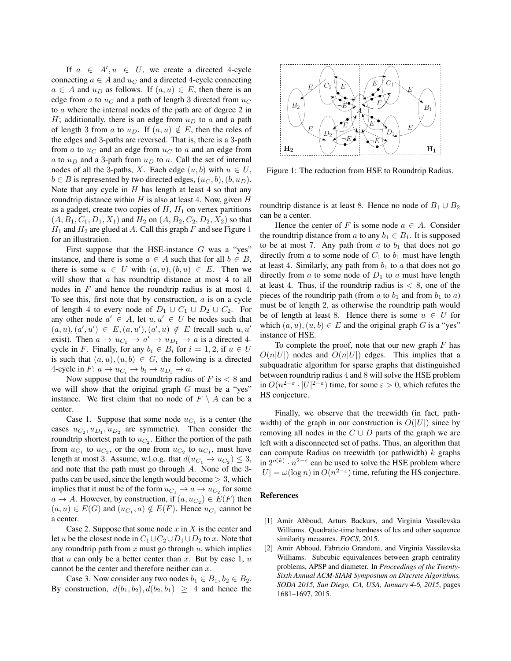If  $a \in A', u \in U$ , we create a directed 4-cycle connecting  $a \in A$  and  $u_C$  and a directed 4-cycle connecting  $a \in A$  and  $u_D$  as follows. If  $(a, u) \in E$ , then there is an edge from  $a$  to  $u<sub>C</sub>$  and a path of length 3 directed from  $u<sub>C</sub>$ to a where the internal nodes of the path are of degree 2 in H; additionally, there is an edge from  $u_D$  to a and a path of length 3 from a to  $u_D$ . If  $(a, u) \notin E$ , then the roles of the edges and 3-paths are reversed. That is, there is a 3-path from  $a$  to  $u<sub>C</sub>$  and an edge from  $u<sub>C</sub>$  to  $a$  and an edge from  $a$  to  $u_D$  and a 3-path from  $u_D$  to  $a$ . Call the set of internal nodes of all the 3-paths, X. Each edge  $(u, b)$  with  $u \in U$ ,  $b \in B$  is represented by two directed edges,  $(u_C, b), (b, u_D)$ . Note that any cycle in  $H$  has length at least 4 so that any roundtrip distance within  $H$  is also at least 4. Now, given  $H$ as a gadget, create two copies of  $H$ ,  $H_1$  on vertex partitions  $(A, B_1, C_1, D_1, X_1)$  and  $H_2$  on  $(A, B_2, C_2, D_2, X_2)$  so that  $H_1$  $H_1$  and  $H_2$  are glued at A. Call this graph F and see Figure 1 for an illustration.

First suppose that the HSE-instance  $G$  was a "yes" instance, and there is some  $a \in A$  such that for all  $b \in B$ , there is some  $u \in U$  with  $(a, u), (b, u) \in E$ . Then we will show that  $a$  has roundtrip distance at most  $4$  to all nodes in  $F$  and hence the roundtrip radius is at most 4. To see this, first note that by construction,  $a$  is on a cycle of length 4 to every node of  $D_1 \cup C_1 \cup D_2 \cup C_2$ . For any other node  $a' \in A$ , let  $u, u' \in U$  be nodes such that  $(a, u), (a', u') \in E, (a, u'), (a', u) \notin E$  (recall such  $u, u'$ ) exist). Then  $a \to u_{C_1} \to a' \to u_{D_1} \to a$  is a directed 4cycle in F. Finally, for any  $b_i \in B_i$  for  $i = 1, 2$ , if  $u \in U$ is such that  $(a, u), (u, b) \in G$ , the following is a directed 4-cycle in  $F: a \to u_{C_i} \to b_i \to u_{D_i} \to a$ .

Now suppose that the roundtrip radius of  $F$  is  $\lt 8$  and we will show that the original graph  $G$  must be a "yes" instance. We first claim that no node of  $F \setminus A$  can be a center.

Case 1. Suppose that some node  $u_{C_1}$  is a center (the cases  $u_{C_2}, u_{D_1}, u_{D_2}$  are symmetric). Then consider the roundtrip shortest path to  $u_{C_2}$ . Either the portion of the path from  $u_{C_1}$  to  $u_{C_2}$ , or the one from  $u_{C_2}$  to  $u_{C_1}$ , must have length at most 3. Assume, w.l.o.g. that  $d(u_{C_1} \to u_{C_2}) \leq 3$ , and note that the path must go through A. None of the 3 paths can be used, since the length would become  $> 3$ , which implies that it must be of the form  $u_{C_1} \to a \to u_{C_2}$  for some  $a \to A$ . However, by construction, if  $(a, u_{C_2}) \in E(F)$  then  $(a, u) \in E(G)$  and  $(u_{C_1}, a) \notin E(F)$ . Hence  $u_{C_1}$  cannot be a center.

Case 2. Suppose that some node  $x$  in  $X$  is the center and let u be the closest node in  $C_1 \cup C_2 \cup D_1 \cup D_2$  to x. Note that any roundtrip path from  $x$  must go through  $u$ , which implies that  $u$  can only be a better center than  $x$ . But by case 1,  $u$ cannot be the center and therefore neither can x.

Case 3. Now consider any two nodes  $b_1 \in B_1$ ,  $b_2 \in B_2$ . By construction,  $d(b_1, b_2), d(b_2, b_1) \geq 4$  and hence the



<span id="page-12-2"></span>Figure 1: The reduction from HSE to Roundtrip Radius.

roundtrip distance is at least 8. Hence no node of  $B_1 \cup B_2$ can be a center.

Hence the center of F is some node  $a \in A$ . Consider the roundtrip distance from a to any  $b_1 \in B_1$ . It is supposed to be at most 7. Any path from  $a$  to  $b_1$  that does not go directly from a to some node of  $C_1$  to  $b_1$  must have length at least 4. Similarly, any path from  $b_1$  to a that does not go directly from  $a$  to some node of  $D_1$  to  $a$  must have length at least 4. Thus, if the roundtrip radius is  $\lt 8$ , one of the pieces of the roundtrip path (from  $a$  to  $b_1$  and from  $b_1$  to  $a$ ) must be of length 2, as otherwise the roundtrip path would be of length at least 8. Hence there is some  $u \in U$  for which  $(a, u), (u, b) \in E$  and the original graph G is a "yes" instance of HSE.

To complete the proof, note that our new graph  $F$  has  $O(n|U|)$  nodes and  $O(n|U|)$  edges. This implies that a subquadratic algorithm for sparse graphs that distinguished between roundtrip radius 4 and 8 will solve the HSE problem in  $O(n^{2-\epsilon} \cdot |U|^{2-\epsilon})$  time, for some  $\varepsilon > 0$ , which refutes the HS conjecture.

Finally, we observe that the treewidth (in fact, pathwidth) of the graph in our construction is  $O(|U|)$  since by removing all nodes in the  $C \cup D$  parts of the graph we are left with a disconnected set of paths. Thus, an algorithm that can compute Radius on treewidth (or pathwidth)  $k$  graphs in  $2^{o(k)} \cdot n^{2-\epsilon}$  can be used to solve the HSE problem where  $|U| = \omega(\log n)$  in  $O(n^{2-\epsilon})$  time, refuting the HS conjecture.

## References

- <span id="page-12-1"></span>[1] Amir Abboud, Arturs Backurs, and Virginia Vassilevska Williams. Quadratic-time hardness of lcs and other sequence similarity measures. *FOCS*, 2015.
- <span id="page-12-0"></span>[2] Amir Abboud, Fabrizio Grandoni, and Virginia Vassilevska Williams. Subcubic equivalences between graph centrality problems, APSP and diameter. In *Proceedings of the Twenty-Sixth Annual ACM-SIAM Symposium on Discrete Algorithms, SODA 2015, San Diego, CA, USA, January 4-6, 2015*, pages 1681–1697, 2015.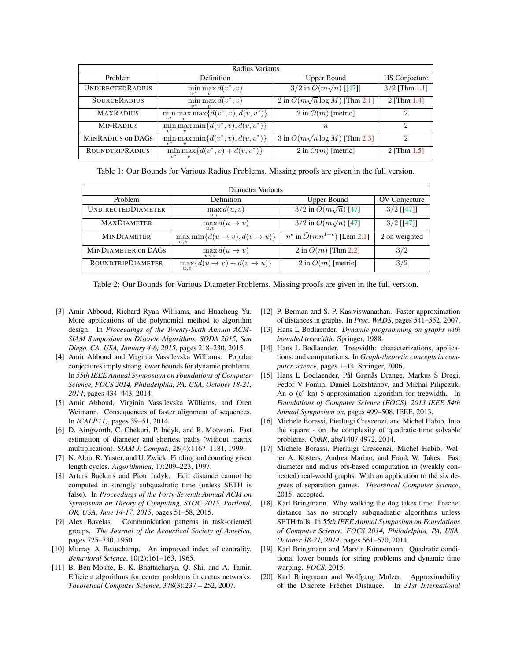| Radius Variants          |                                                                                 |                                                   |                      |  |
|--------------------------|---------------------------------------------------------------------------------|---------------------------------------------------|----------------------|--|
| <b>Problem</b>           | Definition                                                                      | <b>Upper Bound</b>                                | <b>HS</b> Conjecture |  |
| <b>UNDIRECTEDRADIUS</b>  | $\min \max d(v^*, v)$<br>$a, *$                                                 | $\overline{3/2}$ in $\tilde{O}(m\sqrt{n})$ [[47]] | $3/2$ [Thm 1.1]      |  |
| <b>SOURCERADIUS</b>      | $\min \max d(v^*, v)$<br>$7, *$                                                 | 2 in $\tilde{O}(m\sqrt{n}\log M)$ [Thm 2.1]       | $2$ [Thm 1.4]        |  |
| <b>MAXRADIUS</b>         | $\overline{\min} \max \max \{d(v^*, v), d(v, v^*)\}$<br>$2,$ *<br>$\eta$        | 2 in $\tilde{O}(m)$ [metric]                      | 2                    |  |
| <b>MINRADIUS</b>         | min max min $\{d(v^*, v), d(v, v^*)\}$<br>22                                    | $\,n$                                             | 2                    |  |
| <b>MINRADIUS on DAGs</b> | $\min \max \min \{d(v^*, v), d(v, v^*)\}$<br>$22*$<br>$\overline{\mathfrak{D}}$ | 3 in $\tilde{O}(m\sqrt{n}\log M)$ [Thm 2.3]       | 2                    |  |
| <b>ROUNDTRIPRADIUS</b>   | $\min \max\{d(v^*, v) + d(v, v^*)\}$<br>22                                      | 2 in $\tilde{O}(m)$ [metric]                      | 2 [Thm $1.5$ ]       |  |

<span id="page-13-13"></span>Table 1: Our Bounds for Various Radius Problems. Missing proofs are given in the full version.

| <b>Diameter Variants</b>  |                                               |                                                          |                            |  |
|---------------------------|-----------------------------------------------|----------------------------------------------------------|----------------------------|--|
| Problem                   | Definition                                    | <b>Upper Bound</b>                                       | $\overline{OV}$ Conjecture |  |
| <b>UNDIRECTEDDIAMETER</b> | $\max d(u, v)$<br>u.v                         | $3/2$ in $\tilde{O}(m\sqrt{n})$ [47]                     | $3/2$ [[47]]               |  |
| <b>MAXDIAMETER</b>        | $\max d(u \to v)$<br>u.v                      | $3/2$ in $\tilde{O}(m\sqrt{n})$ [47]                     | $3/2$ [[47]]               |  |
| <b>MINDIAMETER</b>        | $\max \min\{d(u \to v), d(v \to u)\}\$<br>u.v | $n^{\epsilon}$ in $\tilde{O}(mn^{1-\epsilon})$ [Lem 2.1] | 2 on weighted              |  |
| MINDIAMETER on DAGs       | $\max_{u \leq v} d(u \to v)$                  | $\overline{2}$ in $\tilde{O}(m)$ [Thm 2.2]               | 3/2                        |  |
| <b>ROUNDTRIPDIAMETER</b>  | $\max\{d(u \to v) + d(v \to u)\}\$<br>u.v     | 2 in $\tilde{O}(m)$ [metric]                             | 3/2                        |  |

<span id="page-13-14"></span>Table 2: Our Bounds for Various Diameter Problems. Missing proofs are given in the full version.

- <span id="page-13-7"></span>[3] Amir Abboud, Richard Ryan Williams, and Huacheng Yu. More applications of the polynomial method to algorithm design. In *Proceedings of the Twenty-Sixth Annual ACM-SIAM Symposium on Discrete Algorithms, SODA 2015, San Diego, CA, USA, January 4-6, 2015*, pages 218–230, 2015.
- <span id="page-13-1"></span>[4] Amir Abboud and Virginia Vassilevska Williams. Popular conjectures imply strong lower bounds for dynamic problems. In *55th IEEE Annual Symposium on Foundations of Computer Science, FOCS 2014, Philadelphia, PA, USA, October 18-21, 2014*, pages 434–443, 2014.
- <span id="page-13-8"></span>[5] Amir Abboud, Virginia Vassilevska Williams, and Oren Weimann. Consequences of faster alignment of sequences. In *ICALP (1)*, pages 39–51, 2014.
- <span id="page-13-3"></span>[6] D. Aingworth, C. Chekuri, P. Indyk, and R. Motwani. Fast estimation of diameter and shortest paths (without matrix multiplication). *SIAM J. Comput.*, 28(4):1167–1181, 1999.
- <span id="page-13-11"></span>[7] N. Alon, R. Yuster, and U. Zwick. Finding and counting given length cycles. *Algorithmica*, 17:209–223, 1997.
- <span id="page-13-0"></span>[8] Arturs Backurs and Piotr Indyk. Edit distance cannot be computed in strongly subquadratic time (unless SETH is false). In *Proceedings of the Forty-Seventh Annual ACM on Symposium on Theory of Computing, STOC 2015, Portland, OR, USA, June 14-17, 2015*, pages 51–58, 2015.
- <span id="page-13-18"></span>[9] Alex Bavelas. Communication patterns in task-oriented groups. *The Journal of the Acoustical Society of America*, pages 725–730, 1950.
- <span id="page-13-19"></span>[10] Murray A Beauchamp. An improved index of centrality. *Behavioral Science*, 10(2):161–163, 1965.
- <span id="page-13-4"></span>[11] B. Ben-Moshe, B. K. Bhattacharya, Q. Shi, and A. Tamir. Efficient algorithms for center problems in cactus networks. *Theoretical Computer Science*, 378(3):237 – 252, 2007.
- <span id="page-13-5"></span>[12] P. Berman and S. P. Kasiviswanathan. Faster approximation of distances in graphs. In *Proc. WADS*, pages 541–552, 2007.
- <span id="page-13-15"></span>[13] Hans L Bodlaender. *Dynamic programming on graphs with bounded treewidth*. Springer, 1988.
- <span id="page-13-17"></span>[14] Hans L Bodlaender. Treewidth: characterizations, applications, and computations. In *Graph-theoretic concepts in computer science*, pages 1–14. Springer, 2006.
- <span id="page-13-16"></span>[15] Hans L Bodlaender, Pål Grønås Drange, Markus S Dregi, Fedor V Fomin, Daniel Lokshtanov, and Michal Pilipczuk. An o (c<sup>o</sup> kn) 5-approximation algorithm for treewidth. In *Foundations of Computer Science (FOCS), 2013 IEEE 54th Annual Symposium on*, pages 499–508. IEEE, 2013.
- <span id="page-13-12"></span>[16] Michele Borassi, Pierluigi Crescenzi, and Michel Habib. Into the square - on the complexity of quadratic-time solvable problems. *CoRR*, abs/1407.4972, 2014.
- <span id="page-13-6"></span>[17] Michele Borassi, Pierluigi Crescenzi, Michel Habib, Walter A. Kosters, Andrea Marino, and Frank W. Takes. Fast diameter and radius bfs-based computation in (weakly connected) real-world graphs: With an application to the six degrees of separation games. *Theoretical Computer Science*, 2015. accepted.
- <span id="page-13-9"></span>[18] Karl Bringmann. Why walking the dog takes time: Frechet distance has no strongly subquadratic algorithms unless SETH fails. In *55th IEEE Annual Symposium on Foundations of Computer Science, FOCS 2014, Philadelphia, PA, USA, October 18-21, 2014*, pages 661–670, 2014.
- <span id="page-13-10"></span>[19] Karl Bringmann and Marvin Künnemann. Quadratic conditional lower bounds for string problems and dynamic time warping. *FOCS*, 2015.
- <span id="page-13-2"></span>[20] Karl Bringmann and Wolfgang Mulzer. Approximability of the Discrete Fréchet Distance. In 31st International